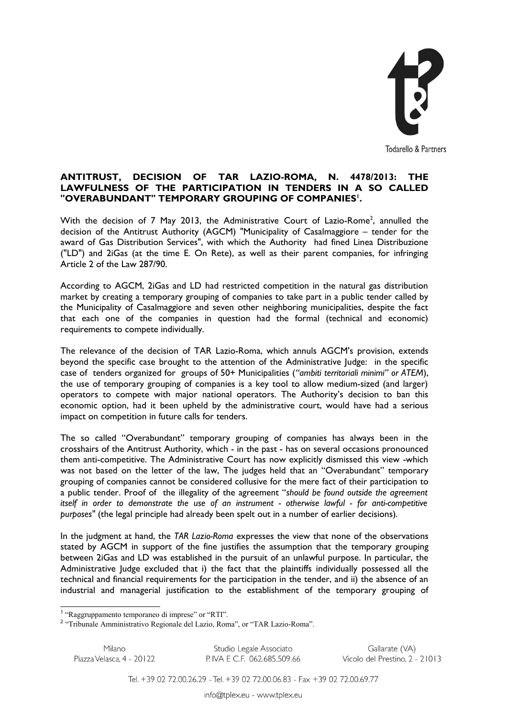

## **ANTITRUST, DECISION OF TAR LAZIO-ROMA, N. 4478/2013: THE LAWFULNESS OF THE PARTICIPATION IN TENDERS IN A SO CALLED "OVERABUNDANT" TEMPORARY GROUPING OF COMPANIES[1](#page-0-0) .**

With the decision of 7 May [2](#page-0-1)013, the Administrative Court of Lazio-Rome<sup>2</sup>, annulled the decision of the Antitrust Authority (AGCM) "Municipality of Casalmaggiore – tender for the award of Gas Distribution Services", with which the Authority had fined Linea Distribuzione ("LD") and 2iGas (at the time E. On Rete), as well as their parent companies, for infringing Article 2 of the Law 287/90.

According to AGCM, 2iGas and LD had restricted competition in the natural gas distribution market by creating a temporary grouping of companies to take part in a public tender called by the Municipality of Casalmaggiore and seven other neighboring municipalities, despite the fact that each one of the companies in question had the formal (technical and economic) requirements to compete individually.

The relevance of the decision of TAR Lazio-Roma, which annuls AGCM's provision, extends beyond the specific case brought to the attention of the Administrative Judge: in the specific case of tenders organized for groups of 50+ Municipalities (*"ambiti territoriali minimi" or ATEM*), the use of temporary grouping of companies is a key tool to allow medium-sized (and larger) operators to compete with major national operators. The Authority's decision to ban this economic option, had it been upheld by the administrative court, would have had a serious impact on competition in future calls for tenders.

The so called "Overabundant" temporary grouping of companies has always been in the crosshairs of the Antitrust Authority, which - in the past - has on several occasions pronounced them anti-competitive. The Administrative Court has now explicitly dismissed this view -which was not based on the letter of the law, The judges held that an "Overabundant" temporary grouping of companies cannot be considered collusive for the mere fact of their participation to a public tender. Proof of the illegality of the agreement "*should be found outside the agreement itself in order to demonstrate the use of an instrument - otherwise lawful - for anti-competitive purposes"* (the legal principle had already been spelt out in a number of earlier decisions)*.*

In the judgment at hand, the *TAR Lazio-Roma* expresses the view that none of the observations stated by AGCM in support of the fine justifies the assumption that the temporary grouping between 2iGas and LD was established in the pursuit of an unlawful purpose. In particular, the Administrative Judge excluded that i) the fact that the plaintiffs individually possessed all the technical and financial requirements for the participation in the tender, and ii) the absence of an industrial and managerial justification to the establishment of the temporary grouping of

Milano Piazza Velasca, 4 - 20122

Studio Legale Associato P. IVA E C.F. 062.685.509.66

Gallarate (VA) Vicolo del Prestino, 2 - 21013

Tel. +39 02 72.00.26.29 - Tel. +39 02 72.00.06.83 - Fax +39 02 72.00.69.77

<span id="page-0-0"></span><sup>&</sup>lt;sup>1</sup> "Raggruppamento temporaneo di imprese" or "RTI".

<span id="page-0-1"></span><sup>&</sup>lt;sup>2</sup> "Tribunale Amministrativo Regionale del Lazio, Roma", or "TAR Lazio-Roma".